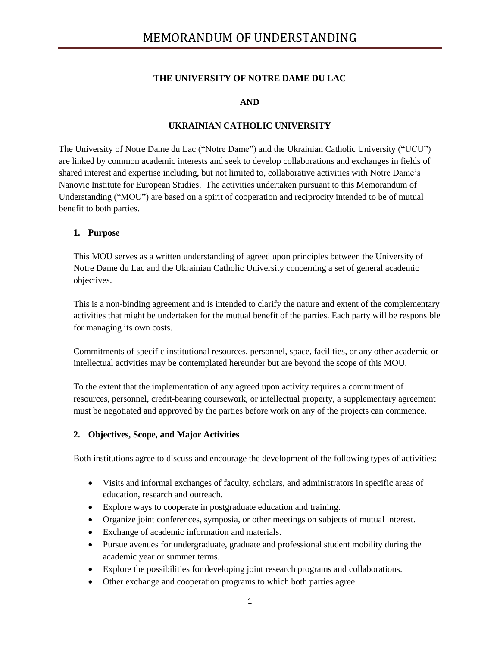### **THE UNIVERSITY OF NOTRE DAME DU LAC**

**AND**

### **UKRAINIAN CATHOLIC UNIVERSITY**

The University of Notre Dame du Lac ("Notre Dame") and the Ukrainian Catholic University ("UCU") are linked by common academic interests and seek to develop collaborations and exchanges in fields of shared interest and expertise including, but not limited to, collaborative activities with Notre Dame's Nanovic Institute for European Studies. The activities undertaken pursuant to this Memorandum of Understanding ("MOU") are based on a spirit of cooperation and reciprocity intended to be of mutual benefit to both parties.

#### **1. Purpose**

This MOU serves as a written understanding of agreed upon principles between the University of Notre Dame du Lac and the Ukrainian Catholic University concerning a set of general academic objectives.

This is a non-binding agreement and is intended to clarify the nature and extent of the complementary activities that might be undertaken for the mutual benefit of the parties. Each party will be responsible for managing its own costs.

Commitments of specific institutional resources, personnel, space, facilities, or any other academic or intellectual activities may be contemplated hereunder but are beyond the scope of this MOU.

To the extent that the implementation of any agreed upon activity requires a commitment of resources, personnel, credit-bearing coursework, or intellectual property, a supplementary agreement must be negotiated and approved by the parties before work on any of the projects can commence.

### **2. Objectives, Scope, and Major Activities**

Both institutions agree to discuss and encourage the development of the following types of activities:

- Visits and informal exchanges of faculty, scholars, and administrators in specific areas of education, research and outreach.
- Explore ways to cooperate in postgraduate education and training.
- Organize joint conferences, symposia, or other meetings on subjects of mutual interest.
- Exchange of academic information and materials.
- Pursue avenues for undergraduate, graduate and professional student mobility during the academic year or summer terms.
- Explore the possibilities for developing joint research programs and collaborations.
- Other exchange and cooperation programs to which both parties agree.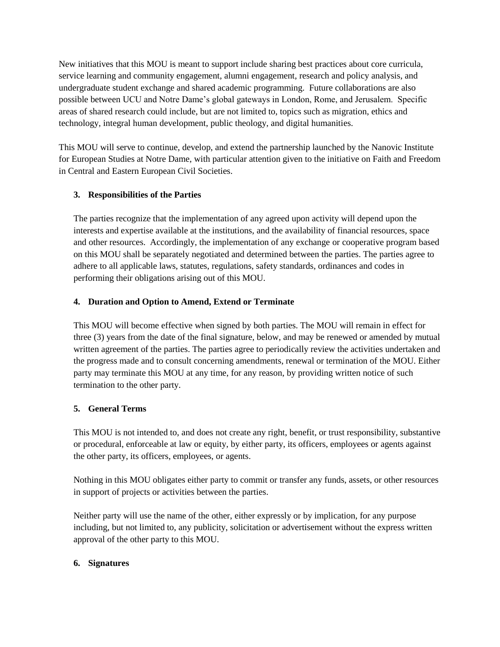New initiatives that this MOU is meant to support include sharing best practices about core curricula, service learning and community engagement, alumni engagement, research and policy analysis, and undergraduate student exchange and shared academic programming. Future collaborations are also possible between UCU and Notre Dame's global gateways in London, Rome, and Jerusalem. Specific areas of shared research could include, but are not limited to, topics such as migration, ethics and technology, integral human development, public theology, and digital humanities.

This MOU will serve to continue, develop, and extend the partnership launched by the Nanovic Institute for European Studies at Notre Dame, with particular attention given to the initiative on Faith and Freedom in Central and Eastern European Civil Societies.

# **3. Responsibilities of the Parties**

The parties recognize that the implementation of any agreed upon activity will depend upon the interests and expertise available at the institutions, and the availability of financial resources, space and other resources. Accordingly, the implementation of any exchange or cooperative program based on this MOU shall be separately negotiated and determined between the parties. The parties agree to adhere to all applicable laws, statutes, regulations, safety standards, ordinances and codes in performing their obligations arising out of this MOU.

## **4. Duration and Option to Amend, Extend or Terminate**

This MOU will become effective when signed by both parties. The MOU will remain in effect for three (3) years from the date of the final signature, below, and may be renewed or amended by mutual written agreement of the parties. The parties agree to periodically review the activities undertaken and the progress made and to consult concerning amendments, renewal or termination of the MOU. Either party may terminate this MOU at any time, for any reason, by providing written notice of such termination to the other party.

# **5. General Terms**

This MOU is not intended to, and does not create any right, benefit, or trust responsibility, substantive or procedural, enforceable at law or equity, by either party, its officers, employees or agents against the other party, its officers, employees, or agents.

Nothing in this MOU obligates either party to commit or transfer any funds, assets, or other resources in support of projects or activities between the parties.

Neither party will use the name of the other, either expressly or by implication, for any purpose including, but not limited to, any publicity, solicitation or advertisement without the express written approval of the other party to this MOU.

### **6. Signatures**